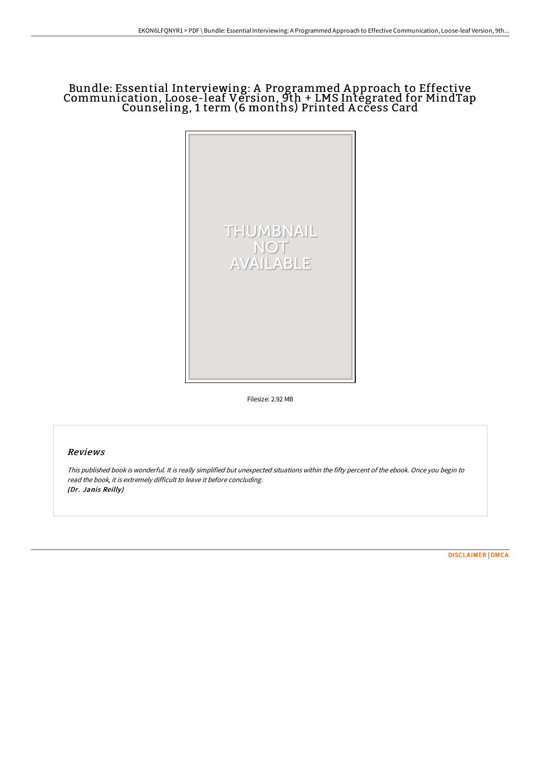## Bundle: Essential Interviewing: A Programmed A pproach to Effective Communication, Loose-leaf Version, 9th + LMS Integrated for MindTap Counseling, 1 term (6 months) Printed A ccess Card



Filesize: 2.92 MB

#### Reviews

This published book is wonderful. It is really simplified but unexpected situations within the fifty percent of the ebook. Once you begin to read the book, it is extremely difficult to leave it before concluding. (Dr. Janis Reilly)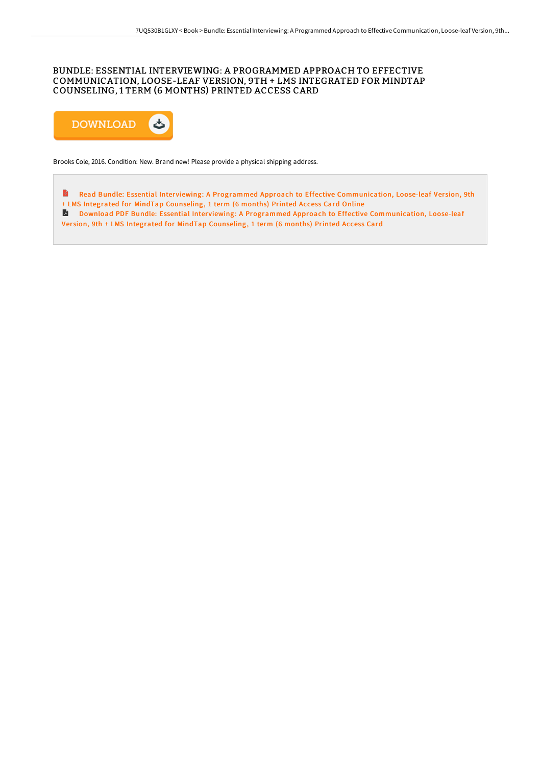### BUNDLE: ESSENTIAL INTERVIEWING: A PROGRAMMED APPROACH TO EFFECTIVE COMMUNICATION, LOOSE-LEAF VERSION, 9TH + LMS INTEGRATED FOR MINDTAP COUNSELING, 1 TERM (6 MONTHS) PRINTED ACCESS CARD



Brooks Cole, 2016. Condition: New. Brand new! Please provide a physical shipping address.

 $\Rightarrow$ Read Bundle: Essential Interviewing: A Programmed Approach to Effective [Communication,](http://www.bookdirs.com/bundle-essential-interviewing-a-programmed-appro.html) Loose-leaf Version, 9th + LMS Integrated for MindTap Counseling, 1 term (6 months) Printed Access Card Online

Download PDF Bundle: Essential Interviewing: A Programmed Approach to Effective [Communication,](http://www.bookdirs.com/bundle-essential-interviewing-a-programmed-appro.html) Loose-leaf

Version, 9th + LMS Integrated for MindTap Counseling, 1 term (6 months) Printed Access Card